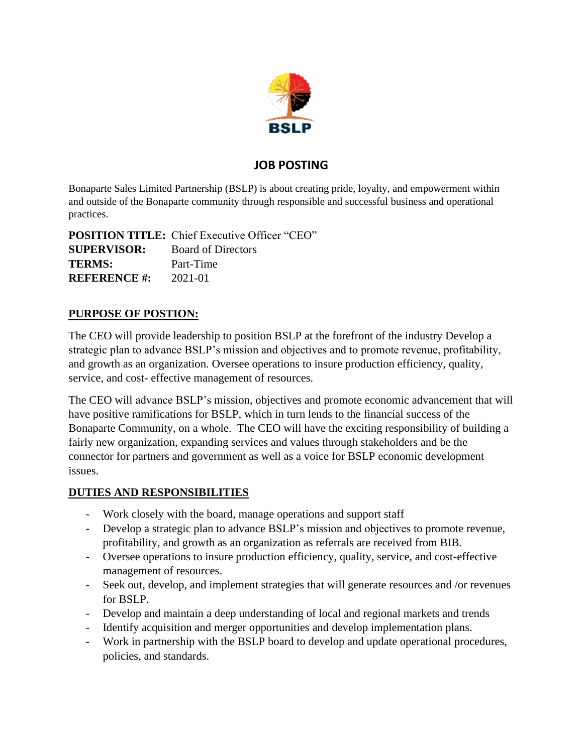

## **JOB POSTING**

Bonaparte Sales Limited Partnership (BSLP) is about creating pride, loyalty, and empowerment within and outside of the Bonaparte community through responsible and successful business and operational practices.

**POSITION TITLE:** Chief Executive Officer "CEO" **SUPERVISOR:** Board of Directors **TERMS:** Part-Time **REFERENCE #:** 2021-01

## **PURPOSE OF POSTION:**

The CEO will provide leadership to position BSLP at the forefront of the industry Develop a strategic plan to advance BSLP's mission and objectives and to promote revenue, profitability, and growth as an organization. Oversee operations to insure production efficiency, quality, service, and cost- effective management of resources.

The CEO will advance BSLP's mission, objectives and promote economic advancement that will have positive ramifications for BSLP, which in turn lends to the financial success of the Bonaparte Community, on a whole. The CEO will have the exciting responsibility of building a fairly new organization, expanding services and values through stakeholders and be the connector for partners and government as well as a voice for BSLP economic development issues.

#### **DUTIES AND RESPONSIBILITIES**

- Work closely with the board, manage operations and support staff
- Develop a strategic plan to advance BSLP's mission and objectives to promote revenue, profitability, and growth as an organization as referrals are received from BIB.
- Oversee operations to insure production efficiency, quality, service, and cost-effective management of resources.
- Seek out, develop, and implement strategies that will generate resources and /or revenues for BSLP.
- Develop and maintain a deep understanding of local and regional markets and trends
- Identify acquisition and merger opportunities and develop implementation plans.
- Work in partnership with the BSLP board to develop and update operational procedures, policies, and standards.